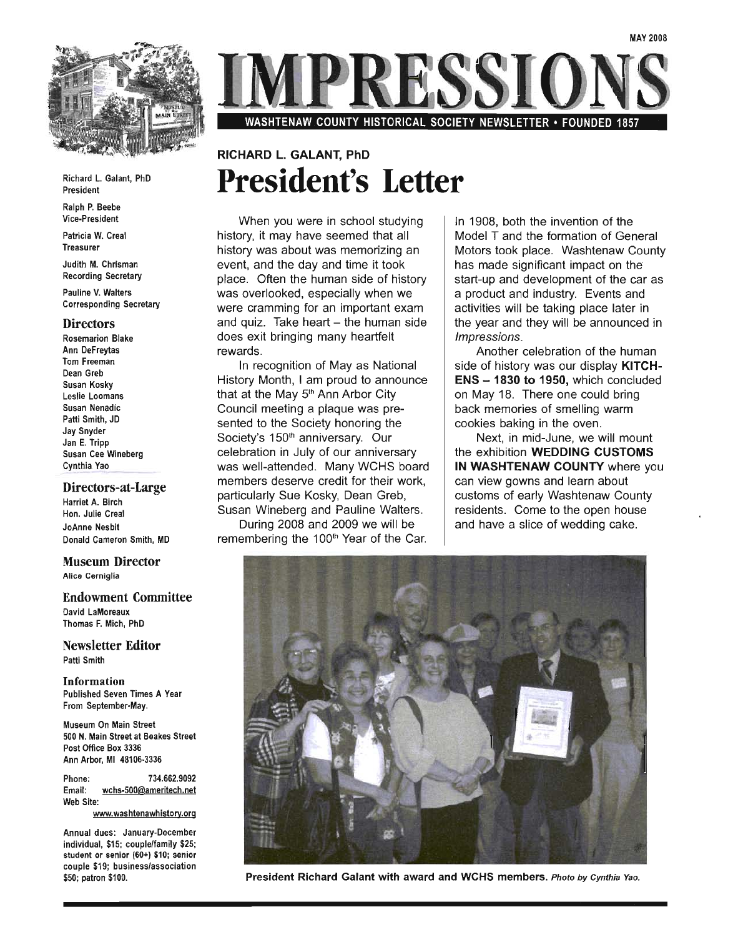

Richard L. Galant, PhD President

Ralph P. Beebe Vice-President

Patricia W. Creal Treasurer

Judith M. Chrisman Recording Secretary

Pauline V. Walters Corresponding Secretary

#### **Directors**

Rosemarion Blake Ann DeFreytas Tom Freeman Dean Greb Susan Kosky Leslie Loomans Susan Nenadic Patti Smith, JD Jay Snyder Jan E. Tripp Susan Cee Wineberg Cynthia Yao

#### Directors-at-Large

Harriet A. Birch Hon. Julie Creal JoAnne Nesbit Donald Cameron Smith, MD

#### Museum Director Alice Cerniglia

Endowment Committee David LaMoreaux Thomas F. Mich, PhD

Newsletter Editor Patti Smith

Information Published Seven Times A Year From September·May.

Museum On Main Street 500 N. Main Street at Beakes Street Post Office Box 3336 Ann Arbor, MI 48106-3336

Phone: 734.662.9092 Email: wchs-500@ameritech.net Web Site:

www.washtenawhistory.org

Annual dues: January-December individual, \$15; couple/family \$25; student or senior (60+) \$10; senior couple \$19; business/association \$50; patron \$100.

WASHTENAW COUNTY HISTORICAL SOCIETY NEWSLETTER • FOUNDED

### RICHARD L. GALANT, PhD **President's Letter**

When you were in school studying history, it may have seemed that all history was about was memorizing an event, and the day and time it took place. Often the human side of history was overlooked, especially when we were cramming for an important exam and quiz. Take heart  $-$  the human side does exit bringing many heartfelt rewards.

In recognition of Mayas National History Month, I am proud to announce that at the May 5<sup>th</sup> Ann Arbor City Council meeting a plaque was presented to the Society honoring the Society's 150<sup>th</sup> anniversary. Our celebration in July of our anniversary was well-attended. Many WCHS board members deserve credit for their work, particularly Sue Kosky, Dean Greb, Susan Wineberg and Pauline Walters.

During 2008 and 2009 we will be remembering the 100<sup>th</sup> Year of the Car. In 1908, both the invention of the Model T and the formation of General Motors took place. Washtenaw County has made significant impact on the start-up and development of the car as a product and industry. Events and activities will be taking place later in the year and they will be announced in Impressions.

Another celebration of the human side of history was our display **KITCH-** $ENS - 1830$  to 1950, which concluded on May 18. There one could bring back memories of smelling warm cookies baking in the oven.

Next, in mid-June, we will mount the exhibition WEDDING CUSTOMS IN WASHTENAW COUNTY where you can view gowns and learn about customs of early Washtenaw County residents. Come to the open house and have a slice of wedding cake.



President Richard Galant with award and WCHS members. Photo by Cynthia Yao.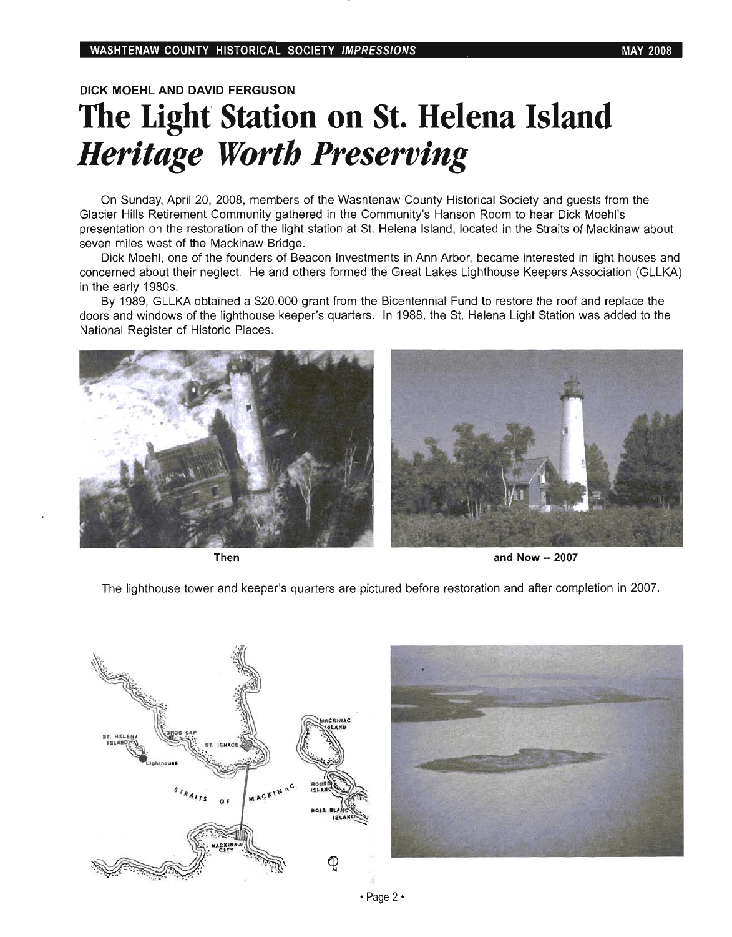#### DICK MOEHl AND DAVID FERGUSON

### **The Light Station on St. Helena Island**  *Heritage Worth Preserving*

On Sunday, April 20, 2008, members of the Washtenaw County Historical Society and guests from the Glacier Hills Retirement Community gathered in the Community's Hanson Room to hear Dick Moehl's presentation on the restoration of the light station at St. Helena Island, located in the Straits of Mackinaw about seven miles west of the Mackinaw Bridge.

Dick Moehl, one of the founders of Beacon Investments in Ann Arbor, became interested in light houses and concerned about their neglect. He and others formed the Great Lakes Lighthouse Keepers Association (GLLKA) in the early 1980s.

By 1989, GLLKA obtained a \$20,000 grant from the Bicentennial Fund to restore the roof and replace the doors and windows of the lighthouse keeper's quarters. In 1988, the St. Helena Light Station was added to the National Register of Historic Places.





Then and Now -- 2007

The lighthouse tower and keeper's quarters are pictured before restoration and after completion in 2007.



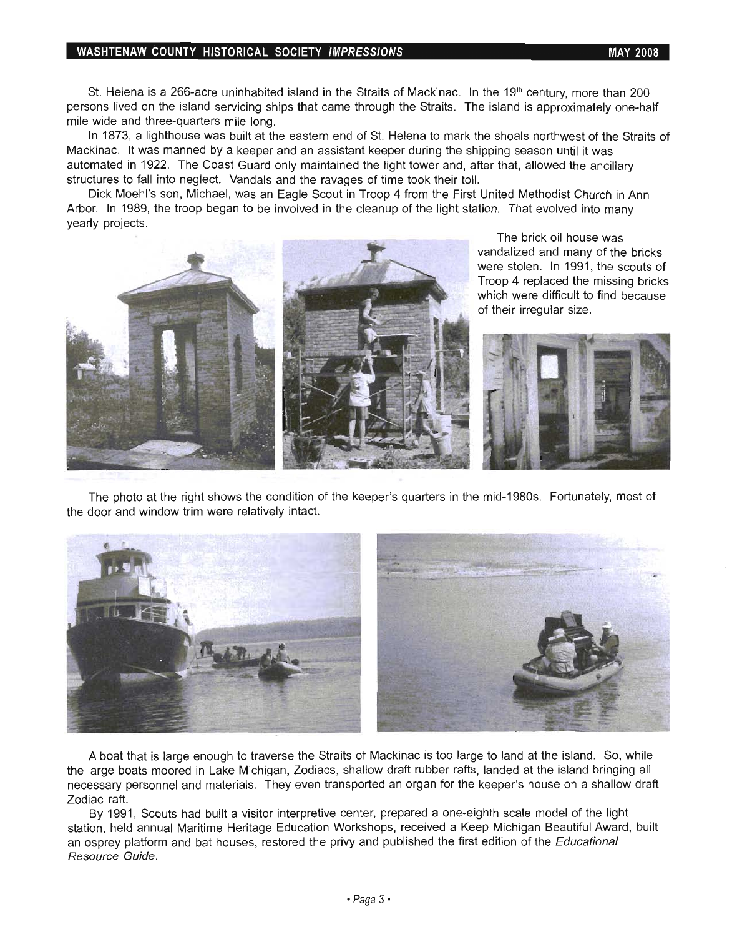#### WASHTENAW COUNTY HISTORICAL SOCIETY IMPRESSIONS And the state of the may 2008

St. Helena is a 266-acre uninhabited island in the Straits of Mackinac. In the 19<sup>th</sup> century, more than 200 persons lived on the island servicing ships that came through the Straits. The island is approximately one-half mile wide and three-quarters mile long.

In 1873, a lighthouse was built at the eastern end of st. Helena to mark the shoals northwest of the Straits of Mackinac. It was manned by a keeper and an assistant keeper during the shipping season until it was automated in 1922. The Coast Guard only maintained the light tower and, after that, allowed the ancillary structures to fall into neglect. Vandals and the ravages of time took their toll.

Dick Moehl's son, Michael, was an Eagle Scout in Troop 4 from the First United Methodist Church in Ann Arbor. In 1989, the troop began to be involved in the cleanup of the light station. That evolved into many yearly projects.



The brick oil house was vandalized and many of the bricks were stolen. In 1991, the scouts of Troop 4 replaced the missing bricks which were difficult to find because of their irregular size.



The photo at the right shows the condition of the keeper's quarters in the mid-1980s. Fortunately, most of the door and window trim were relatively intact.



A boat that is large enough to traverse the Straits of Mackinac is too large to land at the island. So, while the large boats moored in Lake Michigan, Zodiacs, shallow draft rubber rafts, landed at the island bringing all necessary personnel and materials. They even transported an organ for the keeper's house on a shallow draft Zodiac raft.

By 1991, Scouts had built a visitor interpretive center, prepared a one-eighth scale model of the light station, held annual Maritime Heritage Education Workshops, received a Keep Michigan Beautiful Award, built an osprey platform and bat houses, restored the privy and published the first edition of the Educational Resource Guide.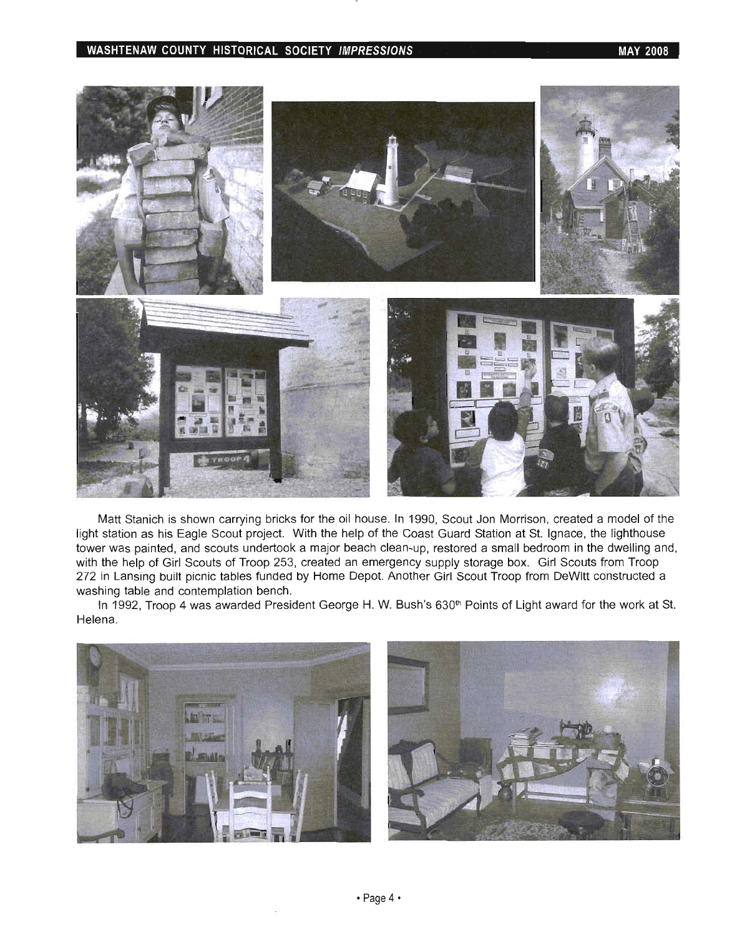### WASHTENAW COUNTY HISTORICAL SOCIETY IMPRESSIONS WASHTENAW COUNTY HISTORICAL SOCIETY IMPRESSIONS



Matt Stanich is shown carrying bricks for the oil house. In 1990, Scout Jon Morrison, created a model of the light station as his Eagle Scout project. With the help of the Coast Guard Station at St. Ignace, the lighthouse tower was painted, and scouts undertook a major beach clean-up, restored a small bedroom in the dwelling and, with the help of Girl Scouts of Troop 253, created an emergency supply storage box. Girl Scouts from Troop 272 in Lansing built picnic tables funded by Home Depot. Another Girl Scout Troop from DeWitt constructed a washing table and contemplation bench.

In 1992, Troop 4 was awarded President George H. W. Bush's 630<sup>th</sup> Points of Light award for the work at St. Helena.

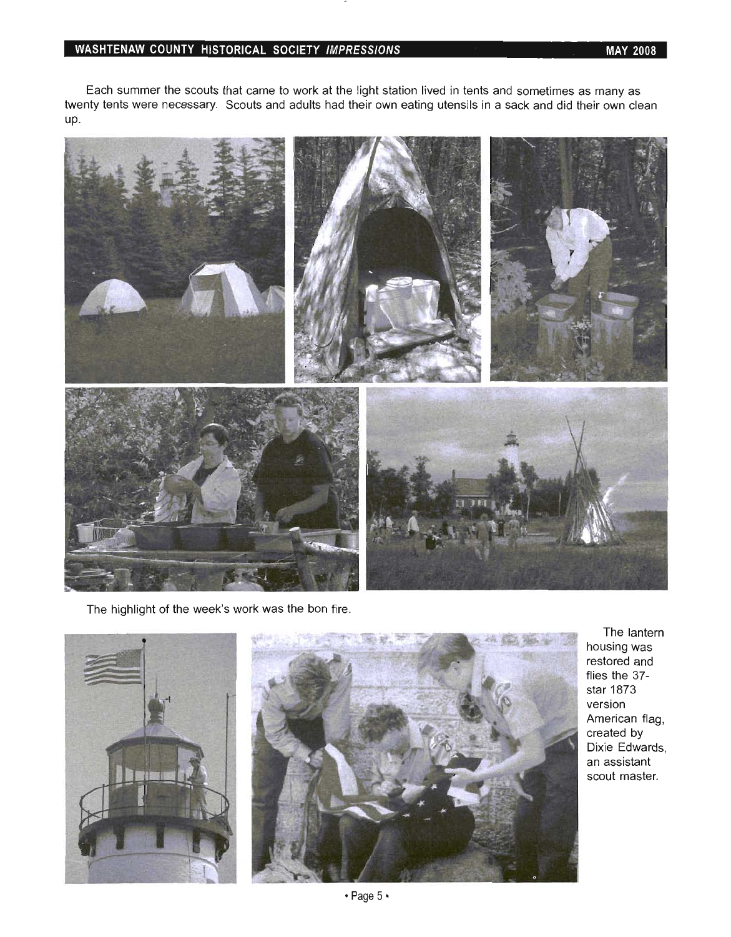#### **WASHTENAW COUNTY HISTORICAL SOCIETY IMPRESSIONS MAY 2008**

Each summer the scouts that came to work at the light station lived in tents and sometimes as many as Each summer the scouts that came to work at the light station lived in tents and sometimes as many as twenty tents were necessary. Scouts and adults had their own eating utensils in a sack and did their own clean<br>up.



The highlight of the week's work was the bon fire.



I he lantern housing was restored and flies the 37star 1873 version American flag, created by Dixie Edwards, an assistant<br>scout master.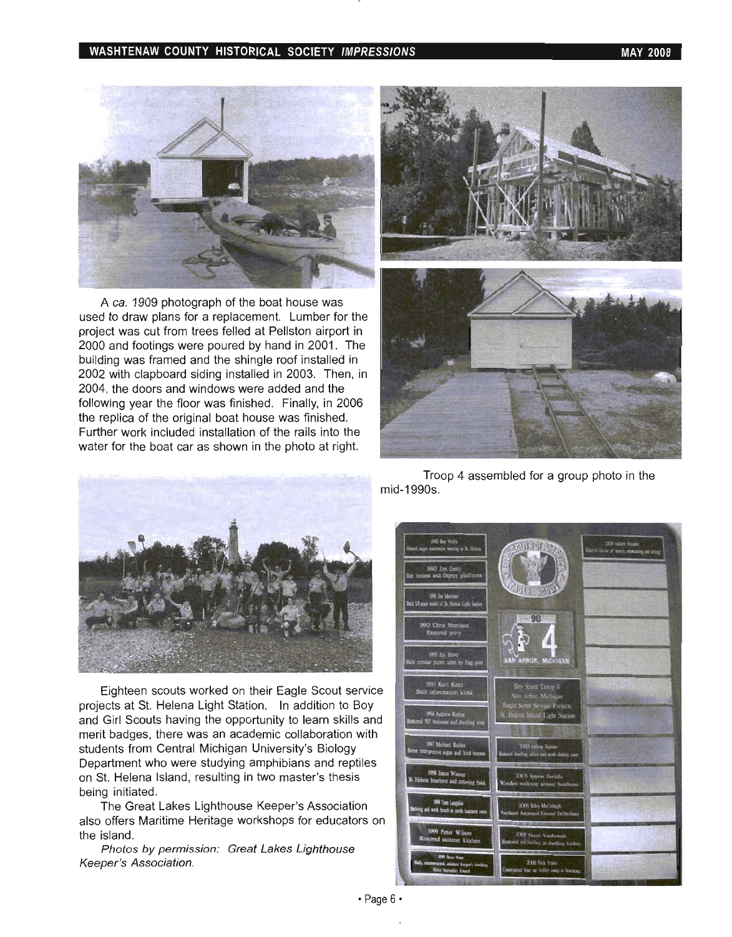#### WASHTENAW COUNTY HISTORICAL SOCIETY IMPRESSIONS WASHTENAW COUNTY 1908



A ca. 1909 photograph of the boat house was used to draw plans for a replacement. Lumber for the project was cut from trees felled at Pellston airport in 2000 and footings were poured by hand in 2001. The building was framed and the shingle roof installed in 2002 with clapboard siding installed in 2003. Then, in 2004, the doors and windows were added and the following year the floor was finished. Finally, in 2006 the replica of the original boat house was finished. Further work included installation of the rails into the water for the boat car as shown in the photo at right.





Eighteen scouts worked on their Eagle Scout service projects at St. Helena Light Station. In addition to Boy and Girl Scouts having the opportunity to learn skills and merit badges, there was an academic collaboration with students from Central Michigan University's Biology Department who were studying amphibians and reptiles on St. Helena Island, resulting in two master's thesis being initiated.

The Great Lakes Lighthouse Keeper's Association also offers Maritime Heritage workshops for educators on the island.

Photos by permission: Great Lakes Lighthouse Keeper's Association.

Troop 4 assembled for a group photo in the mid-1990s.

Chris N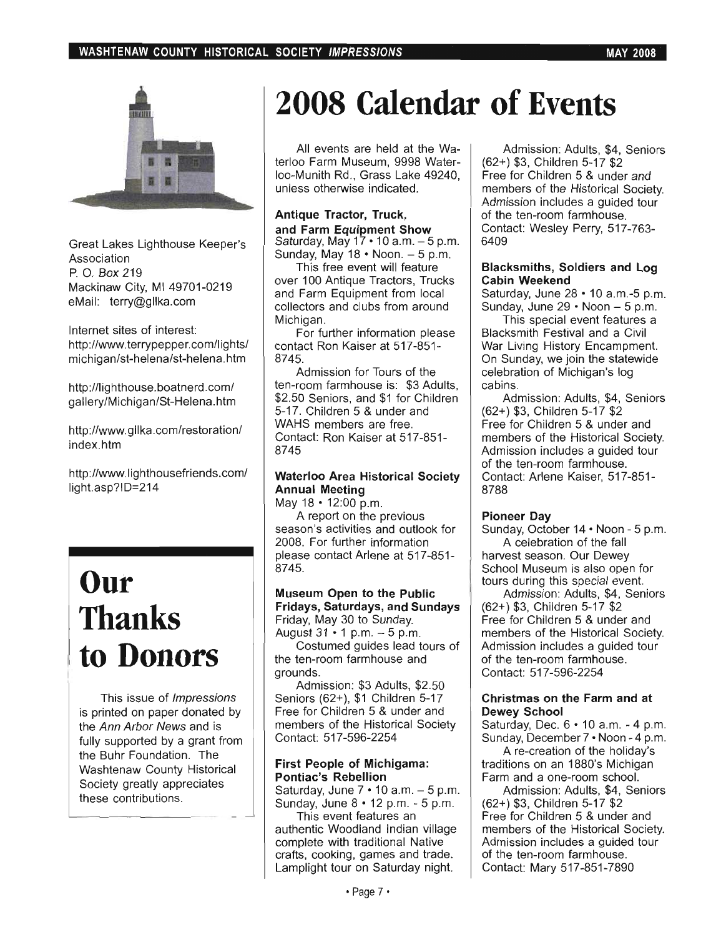

Great Lakes Lighthouse Keeper's Association p. O. Box 219 Mackinaw City, MI 49701-0219 eMail: terry@gllka.com

Internet sites of interest: http://www.terrypepper.com/lights/ michigan/st-helena/st-helena.htm

http://lighthouse.boatnerd.com/ gallery/Michigan/St-Helena.htm

http://www.gllka.com/restoration/ index.htm

http://www.lighthousefriends.com/ light.asp?ID=214

### **Our Thanks to Donors**

This issue of Impressions is printed on paper donated by the Ann Arbor News and is fully supported by a grant from the Buhr Foundation. The Washtenaw County Historical Society greatly appreciates these contributions.

# **2008 Calendar of Events**

All events are held at the Waterloo Farm Museum, 9998 Waterloo-Munith Rd., Grass Lake 49240, unless otherwise indicated.

#### Antique Tractor, Truck, and Farm Equipment Show Saturday, May  $17 \cdot 10$  a.m.  $-5$  p.m. Sunday, May  $18 \cdot$  Noon.  $-5 \text{ p.m.}$

This free event will feature over 100 Antique Tractors, Trucks and Farm Equipment from local collectors and clubs from around Michigan.

For further information please contact Ron Kaiser at 517-851- 8745.

Admission for Tours of the ten-room farmhouse is: \$3 Adults, \$2.50 Seniors, and \$1 for Children 5-17. Children 5 & under and WAHS members are free. Contact: Ron Kaiser at 517-851- 8745

#### Waterloo Area Historical Society Annual Meeting

May 18 • 12:00 p.m.

A report on the previous season's activities and outlook for 2008. For further information please contact Arlene at 517-851- 8745.

#### Museum Open to the Public Fridays, Saturdays, and Sundays Friday, May 30 to Sunday. August  $31 \cdot 1$  p.m.  $-5$  p.m.

Costumed guides lead tours of the ten-room farmhouse and grounds.

Admission: \$3 Adults, \$2.50 Seniors (62+), \$1 Children 5-17 Free for Children 5 & under and members of the Historical Society Contact: 517-596-2254

#### First People of Michigama: Pontiac's Rebellion

Saturday, June  $7 \cdot 10$  a.m.  $-5$  p.m. Sunday, June 8 • 12 p.m. - 5 p.m.

This event features an authentic Woodland Indian village complete with traditional Native crafts, cooking, games and trade. Lamplight tour on Saturday night.

Admission: Adults, \$4, Seniors (62+) \$3, Children 5-17 \$2 Free for Children 5 & under and members of the Historical Society. Admission includes a guided tour of the ten-room farmhouse. Contact: Wesley Perry, 517-763oniac<br>400

#### Blacksmiths, Soldiers and Log Cabin Weekend

Saturday, June 28 • 10 a.m.-5 p.m. Sunday, June  $29 \cdot$  Noon  $-5 \text{ p.m.}$ 

This special event features a Blacksmith Festival and a Civil War Living History Encampment. On Sunday, we join the statewide celebration of Michigan's log cabins.

Admission: Adults, \$4, Seniors (62+) \$3, Children 5-17 \$2 Free for Children 5 & under and members of the Historical Society. Admission includes a guided tour of the ten-room farmhouse. Contact: Arlene Kaiser, 517-851- 8788

#### Pioneer Day

Sunday, October 14· Noon - 5 p.m. A celebration of the fall harvest season. Our Dewey School Museum is also open for tours during this special event.

Admission: Adults, \$4, Seniors (62+) \$3, Children 5-17 \$2 Free for Children 5 & under and members of the Historical Society. Admission includes a guided tour of the ten-room farmhouse. Contact: 517-596-2254

#### Christmas on the Farm and at Dewey School

Saturday, Dec. 6 • 10 a.m. - 4 p.m. Sunday, December 7 · Noon - 4 p.m.

A re-creation of the holiday's traditions on an 1880's Michigan Farm and a one-room school.

Admission: Adults, \$4, Seniors (62+) \$3, Children 5-17 \$2 Free for Children 5 & under and members of the Historical Society. Admission includes a guided tour of the ten-room farmhouse. Contact: Mary 517-851-7890